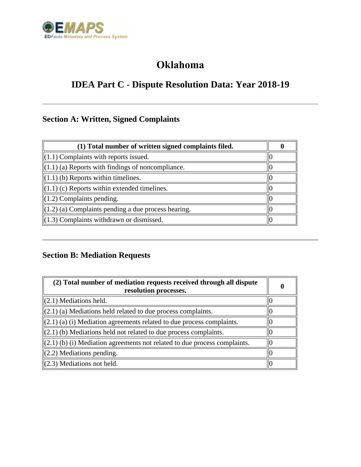

## **Oklahoma**

# **IDEA Part C - Dispute Resolution Data: Year 2018-19**

## **Section A: Written, Signed Complaints**

| (1) Total number of written signed complaints filed.            |  |
|-----------------------------------------------------------------|--|
| $\parallel$ (1.1) Complaints with reports issued.               |  |
| $\parallel$ (1.1) (a) Reports with findings of noncompliance.   |  |
| $\parallel$ (1.1) (b) Reports within timelines.                 |  |
| $\parallel$ (1.1) (c) Reports within extended timelines.        |  |
| $\parallel$ (1.2) Complaints pending.                           |  |
| $\parallel$ (1.2) (a) Complaints pending a due process hearing. |  |
| $\parallel$ (1.3) Complaints withdrawn or dismissed.            |  |

### **Section B: Mediation Requests**

| (2) Total number of mediation requests received through all dispute<br>resolution processes. | 0 |
|----------------------------------------------------------------------------------------------|---|
| $(2.1)$ Mediations held.                                                                     |   |
| $\ (2.1)$ (a) Mediations held related to due process complaints.                             |   |
| $ (2.1)$ (a) (i) Mediation agreements related to due process complaints.                     |   |
| $\parallel$ (2.1) (b) Mediations held not related to due process complaints.                 |   |
| $\parallel$ (2.1) (b) (i) Mediation agreements not related to due process complaints.        |   |
| $(2.2)$ Mediations pending.                                                                  |   |
| $(2.3)$ Mediations not held.                                                                 |   |